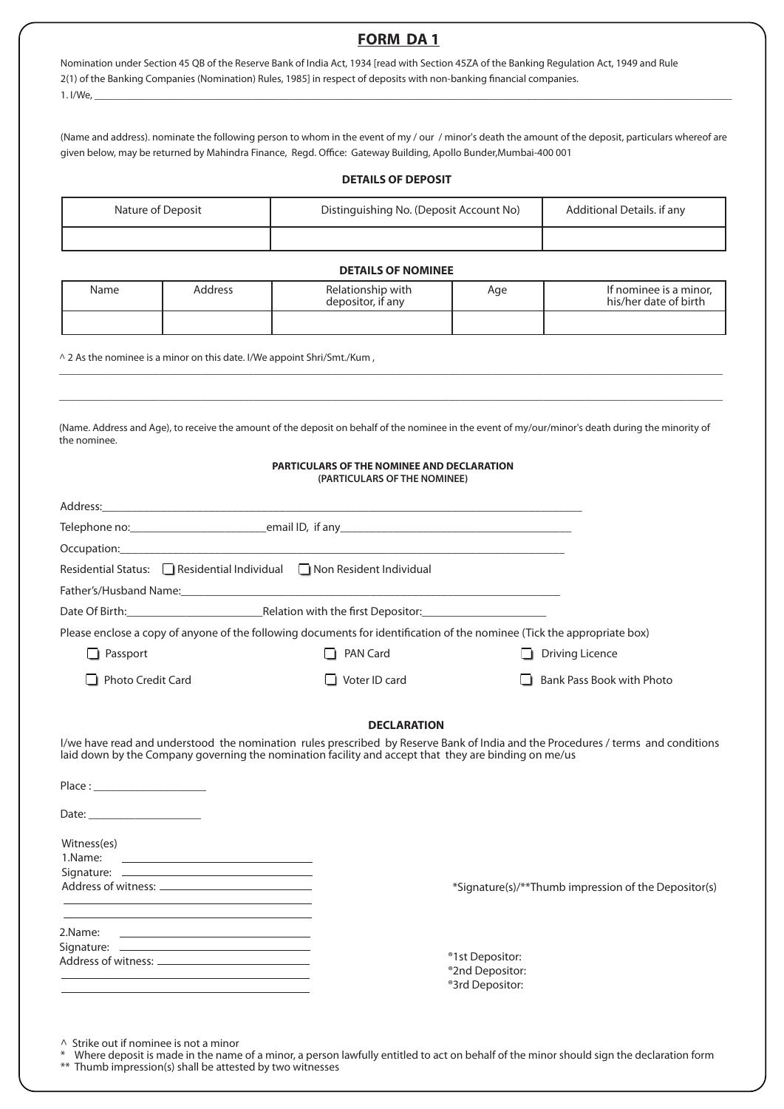# **FORM DA 1**

Nomination under Section 45 QB of the Reserve Bank of India Act, 1934 [read with Section 45ZA of the Banking Regulation Act, 1949 and Rule 2(1) of the Banking Companies (Nomination) Rules, 1985] in respect of deposits with non-banking financial companies. 1. I/We, \_\_\_\_\_\_\_\_\_\_\_\_\_\_\_\_\_\_\_\_\_\_\_\_\_\_\_\_\_\_\_\_\_\_\_\_\_\_\_\_\_\_\_\_\_\_\_\_\_\_\_\_\_\_\_\_\_\_\_\_\_\_\_\_\_\_\_\_\_\_\_\_\_\_\_\_\_\_\_\_\_\_\_\_\_\_\_\_\_\_\_\_\_\_\_\_\_\_\_\_\_\_\_\_\_\_\_\_\_\_\_\_\_\_\_\_\_\_\_\_\_

(Name and address). nominate the following person to whom in the event of my / our / minor's death the amount of the deposit, particulars whereof are given below, may be returned by Mahindra Finance, Regd. Office: Gateway Building, Apollo Bunder,Mumbai-400 001

#### **DETAILS OF DEPOSIT**

| Nature of Deposit | Distinguishing No. (Deposit Account No) | Additional Details, if any |
|-------------------|-----------------------------------------|----------------------------|
|                   |                                         |                            |

#### **DETAILS OF NOMINEE**

| Name | Address | Relationship with<br>depositor, if any | Age | If nominee is a minor,<br>his/her date of birth |
|------|---------|----------------------------------------|-----|-------------------------------------------------|
|      |         |                                        |     |                                                 |

\_\_\_\_\_\_\_\_\_\_\_\_\_\_\_\_\_\_\_\_\_\_\_\_\_\_\_\_\_\_\_\_\_\_\_\_\_\_\_\_\_\_\_\_\_\_\_\_\_\_\_\_\_\_\_\_\_\_\_\_\_\_\_\_\_\_\_\_\_\_\_\_\_\_\_\_\_\_\_\_\_\_\_\_\_\_\_\_\_\_\_\_\_\_\_\_\_\_\_\_\_\_\_\_\_\_\_\_\_\_\_\_\_\_\_\_\_\_\_\_\_\_\_\_\_\_ \_\_\_\_\_\_\_\_\_\_\_\_\_\_\_\_\_\_\_\_\_\_\_\_\_\_\_\_\_\_\_\_\_\_\_\_\_\_\_\_\_\_\_\_\_\_\_\_\_\_\_\_\_\_\_\_\_\_\_\_\_\_\_\_\_\_\_\_\_\_\_\_\_\_\_\_\_\_\_\_\_\_\_\_\_\_\_\_\_\_\_\_\_\_\_\_\_\_\_\_\_\_\_\_\_\_\_\_\_\_\_\_\_\_\_\_\_\_\_\_\_\_\_\_\_\_

^ 2 As the nominee is a minor on this date. I/We appoint Shri/Smt./Kum ,

(Name. Address and Age), to receive the amount of the deposit on behalf of the nominee in the event of my/our/minor's death during the minority of the nominee.

#### **PARTICULARS OF THE NOMINEE AND DECLARATION (PARTICULARS OF THE NOMINEE)**

| Address: Note that the contract of the contract of the contract of the contract of the contract of the contract of the contract of the contract of the contract of the contract of the contract of the contract of the contrac           |                      |                           |
|------------------------------------------------------------------------------------------------------------------------------------------------------------------------------------------------------------------------------------------|----------------------|---------------------------|
|                                                                                                                                                                                                                                          |                      |                           |
|                                                                                                                                                                                                                                          |                      |                           |
| Residential Status: Residential Individual Non Resident Individual                                                                                                                                                                       |                      |                           |
|                                                                                                                                                                                                                                          |                      |                           |
|                                                                                                                                                                                                                                          |                      |                           |
| Please enclose a copy of anyone of the following documents for identification of the nominee (Tick the appropriate box)                                                                                                                  |                      |                           |
| Passport                                                                                                                                                                                                                                 | PAN Card             | <b>Driving Licence</b>    |
| <b>Photo Credit Card</b>                                                                                                                                                                                                                 | $\Box$ Voter ID card | Bank Pass Book with Photo |
|                                                                                                                                                                                                                                          | <b>DECLARATION</b>   |                           |
| I/we have read and understood the nomination rules prescribed by Reserve Bank of India and the Procedures / terms and conditions<br>laid down by the Company governing the nomination facility and accept that they are binding on me/us |                      |                           |
| Place: Note: Note: Note: Note: Note: Note: Note: Note: Note: Note: Note: Note: Note: Note: Note: No                                                                                                                                      |                      |                           |
| Date: ______________________                                                                                                                                                                                                             |                      |                           |
| Witness(es)<br>1.Name:                                                                                                                                                                                                                   |                      |                           |

Signature: \_ Address of witness:

\*Signature(s)/\*\*Thumb impression of the Depositor(s)

| 2.Name:                          |  |  |
|----------------------------------|--|--|
| Signature: __________            |  |  |
| Address of witness: <sub>-</sub> |  |  |
|                                  |  |  |

®1st Depositor: ®2nd Depositor:

®3rd Depositor:

 $\wedge$  Strike out if nominee is not a minor

Where deposit is made in the name of a minor, a person lawfully entitled to act on behalf of the minor should sign the declaration form

\*\* Thumb impression(s) shall be attested by two witnesses